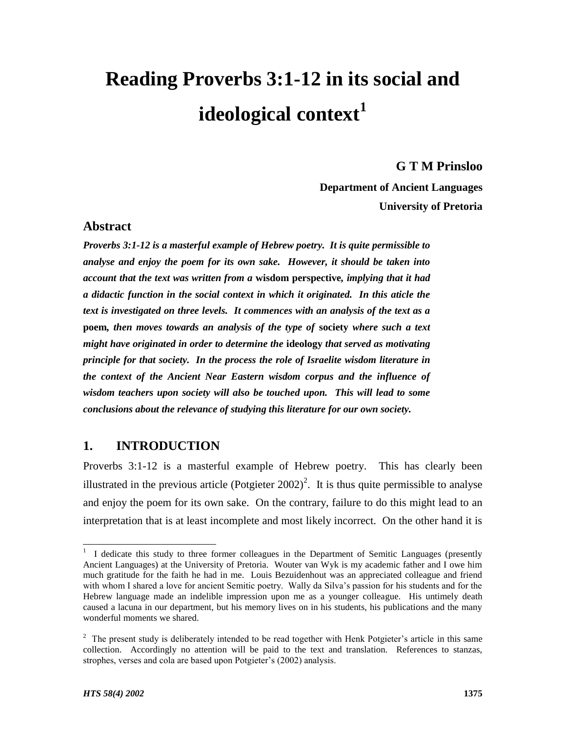# **Reading Proverbs 3:1-12 in its social and ideological context<sup>1</sup>**

#### **G T M Prinsloo**

**Department of Ancient Languages University of Pretoria**

# **Abstract**

*Proverbs 3:1-12 is a masterful example of Hebrew poetry. It is quite permissible to analyse and enjoy the poem for its own sake. However, it should be taken into account that the text was written from a* **wisdom perspective***, implying that it had a didactic function in the social context in which it originated. In this aticle the text is investigated on three levels. It commences with an analysis of the text as a*  **poem***, then moves towards an analysis of the type of* **society** *where such a text might have originated in order to determine the* **ideology** *that served as motivating principle for that society. In the process the role of Israelite wisdom literature in the context of the Ancient Near Eastern wisdom corpus and the influence of wisdom teachers upon society will also be touched upon. This will lead to some conclusions about the relevance of studying this literature for our own society.*

# **1. INTRODUCTION**

Proverbs 3:1-12 is a masterful example of Hebrew poetry. This has clearly been illustrated in the previous article (Potgieter  $2002$ )<sup>2</sup>. It is thus quite permissible to analyse and enjoy the poem for its own sake. On the contrary, failure to do this might lead to an interpretation that is at least incomplete and most likely incorrect. On the other hand it is

<sup>&</sup>lt;sup>1</sup> I dedicate this study to three former colleagues in the Department of Semitic Languages (presently Ancient Languages) at the University of Pretoria. Wouter van Wyk is my academic father and I owe him much gratitude for the faith he had in me. Louis Bezuidenhout was an appreciated colleague and friend with whom I shared a love for ancient Semitic poetry. Wally da Silva's passion for his students and for the Hebrew language made an indelible impression upon me as a younger colleague. His untimely death caused a lacuna in our department, but his memory lives on in his students, his publications and the many wonderful moments we shared.

 $2$  The present study is deliberately intended to be read together with Henk Potgieter's article in this same collection. Accordingly no attention will be paid to the text and translation. References to stanzas, strophes, verses and cola are based upon Potgieter's (2002) analysis.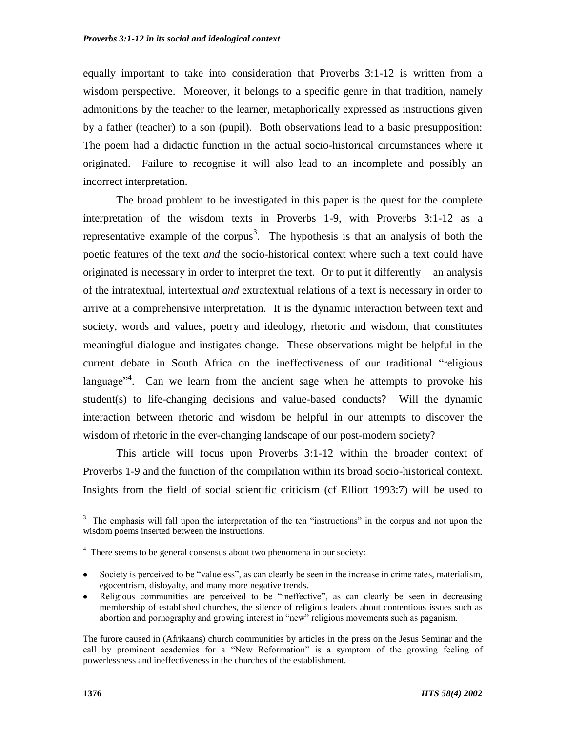equally important to take into consideration that Proverbs 3:1-12 is written from a wisdom perspective. Moreover, it belongs to a specific genre in that tradition, namely admonitions by the teacher to the learner, metaphorically expressed as instructions given by a father (teacher) to a son (pupil). Both observations lead to a basic presupposition: The poem had a didactic function in the actual socio-historical circumstances where it originated. Failure to recognise it will also lead to an incomplete and possibly an incorrect interpretation.

The broad problem to be investigated in this paper is the quest for the complete interpretation of the wisdom texts in Proverbs 1-9, with Proverbs 3:1-12 as a representative example of the corpus<sup>3</sup>. The hypothesis is that an analysis of both the poetic features of the text *and* the socio-historical context where such a text could have originated is necessary in order to interpret the text. Or to put it differently – an analysis of the intratextual, intertextual *and* extratextual relations of a text is necessary in order to arrive at a comprehensive interpretation. It is the dynamic interaction between text and society, words and values, poetry and ideology, rhetoric and wisdom, that constitutes meaningful dialogue and instigates change. These observations might be helpful in the current debate in South Africa on the ineffectiveness of our traditional "religious" language<sup> $n^4$ </sup>. Can we learn from the ancient sage when he attempts to provoke his student(s) to life-changing decisions and value-based conducts? Will the dynamic interaction between rhetoric and wisdom be helpful in our attempts to discover the wisdom of rhetoric in the ever-changing landscape of our post-modern society?

This article will focus upon Proverbs 3:1-12 within the broader context of Proverbs 1-9 and the function of the compilation within its broad socio-historical context. Insights from the field of social scientific criticism (cf Elliott 1993:7) will be used to

<sup>&</sup>lt;sup>3</sup> The emphasis will fall upon the interpretation of the ten "instructions" in the corpus and not upon the wisdom poems inserted between the instructions.

<sup>&</sup>lt;sup>4</sup> There seems to be general consensus about two phenomena in our society:

Society is perceived to be "valueless", as can clearly be seen in the increase in crime rates, materialism, egocentrism, disloyalty, and many more negative trends.

Religious communities are perceived to be "ineffective", as can clearly be seen in decreasing membership of established churches, the silence of religious leaders about contentious issues such as abortion and pornography and growing interest in "new" religious movements such as paganism.

The furore caused in (Afrikaans) church communities by articles in the press on the Jesus Seminar and the call by prominent academics for a "New Reformation" is a symptom of the growing feeling of powerlessness and ineffectiveness in the churches of the establishment.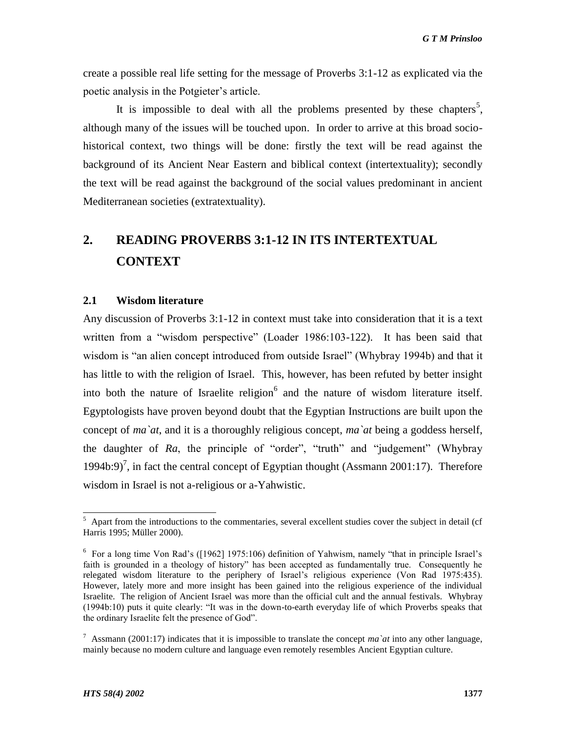create a possible real life setting for the message of Proverbs 3:1-12 as explicated via the poetic analysis in the Potgieter's article.

It is impossible to deal with all the problems presented by these chapters<sup>5</sup>, although many of the issues will be touched upon. In order to arrive at this broad sociohistorical context, two things will be done: firstly the text will be read against the background of its Ancient Near Eastern and biblical context (intertextuality); secondly the text will be read against the background of the social values predominant in ancient Mediterranean societies (extratextuality).

# **2. READING PROVERBS 3:1-12 IN ITS INTERTEXTUAL CONTEXT**

#### **2.1 Wisdom literature**

Any discussion of Proverbs 3:1-12 in context must take into consideration that it is a text written from a "wisdom perspective" (Loader 1986:103-122). It has been said that wisdom is "an alien concept introduced from outside Israel" (Whybray 1994b) and that it has little to with the religion of Israel. This, however, has been refuted by better insight into both the nature of Israelite religion $<sup>6</sup>$  and the nature of wisdom literature itself.</sup> Egyptologists have proven beyond doubt that the Egyptian Instructions are built upon the concept of *ma`at*, and it is a thoroughly religious concept, *ma`at* being a goddess herself, the daughter of  $Ra$ , the principle of "order", "truth" and "judgement" (Whybray 1994b:9)<sup>7</sup>, in fact the central concept of Egyptian thought (Assmann 2001:17). Therefore wisdom in Israel is not a-religious or a-Yahwistic.

<sup>&</sup>lt;sup>5</sup> Apart from the introductions to the commentaries, several excellent studies cover the subject in detail (cf Harris 1995; Müller 2000).

 $6$  For a long time Von Rad's ([1962] 1975:106) definition of Yahwism, namely "that in principle Israel's faith is grounded in a theology of history" has been accepted as fundamentally true. Consequently he relegated wisdom literature to the periphery of Israel's religious experience (Von Rad 1975:435). However, lately more and more insight has been gained into the religious experience of the individual Israelite. The religion of Ancient Israel was more than the official cult and the annual festivals. Whybray  $(1994b:10)$  puts it quite clearly: "It was in the down-to-earth everyday life of which Proverbs speaks that the ordinary Israelite felt the presence of God".

<sup>&</sup>lt;sup>7</sup> Assmann (2001:17) indicates that it is impossible to translate the concept *ma* at into any other language, mainly because no modern culture and language even remotely resembles Ancient Egyptian culture.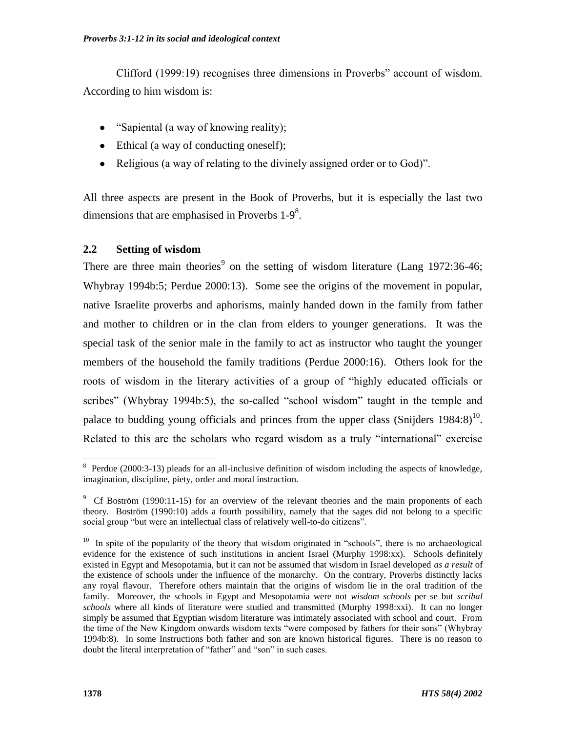Clifford (1999:19) recognises three dimensions in Proverbs" account of wisdom. According to him wisdom is:

- ―Sapiental (a way of knowing reality);
- Ethical (a way of conducting oneself);
- Religious (a way of relating to the divinely assigned order or to God)".

All three aspects are present in the Book of Proverbs, but it is especially the last two dimensions that are emphasised in Proverbs  $1-9<sup>8</sup>$ .

# **2.2 Setting of wisdom**

There are three main theories<sup>9</sup> on the setting of wisdom literature (Lang 1972:36-46; Whybray 1994b:5; Perdue 2000:13). Some see the origins of the movement in popular, native Israelite proverbs and aphorisms, mainly handed down in the family from father and mother to children or in the clan from elders to younger generations. It was the special task of the senior male in the family to act as instructor who taught the younger members of the household the family traditions (Perdue 2000:16). Others look for the roots of wisdom in the literary activities of a group of "highly educated officials or scribes" (Whybray 1994b:5), the so-called "school wisdom" taught in the temple and palace to budding young officials and princes from the upper class (Snijders  $1984:8$ )<sup>10</sup>. Related to this are the scholars who regard wisdom as a truly "international" exercise

l

<sup>&</sup>lt;sup>8</sup> Perdue (2000:3-13) pleads for an all-inclusive definition of wisdom including the aspects of knowledge, imagination, discipline, piety, order and moral instruction.

<sup>&</sup>lt;sup>9</sup> Cf Boström (1990:11-15) for an overview of the relevant theories and the main proponents of each theory. Boström (1990:10) adds a fourth possibility, namely that the sages did not belong to a specific social group "but were an intellectual class of relatively well-to-do citizens".

<sup>&</sup>lt;sup>10</sup> In spite of the popularity of the theory that wisdom originated in "schools", there is no archaeological evidence for the existence of such institutions in ancient Israel (Murphy 1998:xx). Schools definitely existed in Egypt and Mesopotamia, but it can not be assumed that wisdom in Israel developed *as a result* of the existence of schools under the influence of the monarchy. On the contrary, Proverbs distinctly lacks any royal flavour. Therefore others maintain that the origins of wisdom lie in the oral tradition of the family. Moreover, the schools in Egypt and Mesopotamia were not *wisdom schools* per se but *scribal schools* where all kinds of literature were studied and transmitted (Murphy 1998:xxi). It can no longer simply be assumed that Egyptian wisdom literature was intimately associated with school and court. From the time of the New Kingdom onwards wisdom texts "were composed by fathers for their sons" (Whybray 1994b:8). In some Instructions both father and son are known historical figures. There is no reason to doubt the literal interpretation of "father" and "son" in such cases.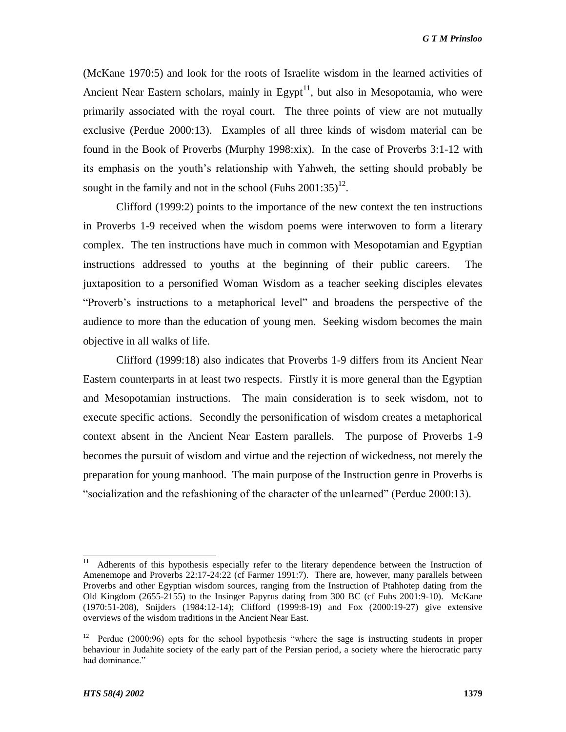(McKane 1970:5) and look for the roots of Israelite wisdom in the learned activities of Ancient Near Eastern scholars, mainly in Egypt<sup>11</sup>, but also in Mesopotamia, who were primarily associated with the royal court. The three points of view are not mutually exclusive (Perdue 2000:13). Examples of all three kinds of wisdom material can be found in the Book of Proverbs (Murphy 1998:xix). In the case of Proverbs 3:1-12 with its emphasis on the youth's relationship with Yahweh, the setting should probably be sought in the family and not in the school (Fuhs  $2001:35$ )<sup>12</sup>.

Clifford (1999:2) points to the importance of the new context the ten instructions in Proverbs 1-9 received when the wisdom poems were interwoven to form a literary complex. The ten instructions have much in common with Mesopotamian and Egyptian instructions addressed to youths at the beginning of their public careers. The juxtaposition to a personified Woman Wisdom as a teacher seeking disciples elevates "Proverb's instructions to a metaphorical level" and broadens the perspective of the audience to more than the education of young men. Seeking wisdom becomes the main objective in all walks of life.

Clifford (1999:18) also indicates that Proverbs 1-9 differs from its Ancient Near Eastern counterparts in at least two respects. Firstly it is more general than the Egyptian and Mesopotamian instructions. The main consideration is to seek wisdom, not to execute specific actions. Secondly the personification of wisdom creates a metaphorical context absent in the Ancient Near Eastern parallels. The purpose of Proverbs 1-9 becomes the pursuit of wisdom and virtue and the rejection of wickedness, not merely the preparation for young manhood. The main purpose of the Instruction genre in Proverbs is ―socialization and the refashioning of the character of the unlearned‖ (Perdue 2000:13).

l

<sup>11</sup> Adherents of this hypothesis especially refer to the literary dependence between the Instruction of Amenemope and Proverbs 22:17-24:22 (cf Farmer 1991:7). There are, however, many parallels between Proverbs and other Egyptian wisdom sources, ranging from the Instruction of Ptahhotep dating from the Old Kingdom (2655-2155) to the Insinger Papyrus dating from 300 BC (cf Fuhs 2001:9-10). McKane (1970:51-208), Snijders (1984:12-14); Clifford (1999:8-19) and Fox (2000:19-27) give extensive overviews of the wisdom traditions in the Ancient Near East.

<sup>&</sup>lt;sup>12</sup> Perdue (2000:96) opts for the school hypothesis "where the sage is instructing students in proper behaviour in Judahite society of the early part of the Persian period, a society where the hierocratic party had dominance."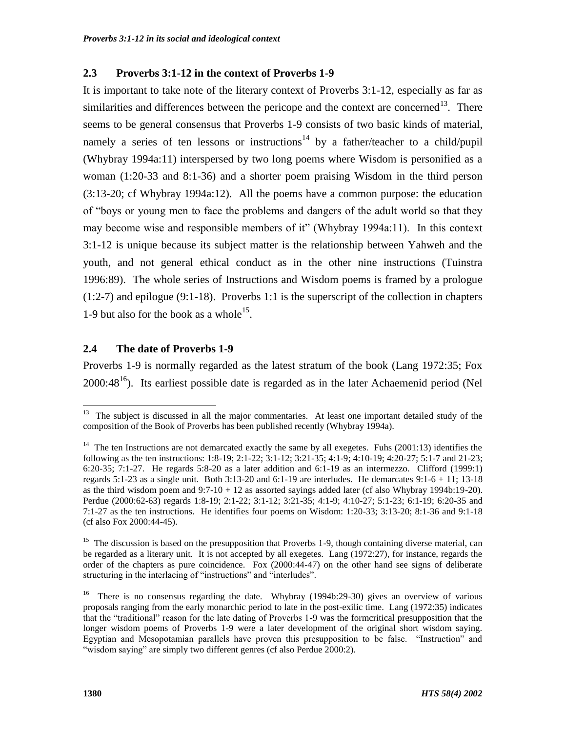#### **2.3 Proverbs 3:1-12 in the context of Proverbs 1-9**

It is important to take note of the literary context of Proverbs 3:1-12, especially as far as similarities and differences between the pericope and the context are concerned<sup>13</sup>. There seems to be general consensus that Proverbs 1-9 consists of two basic kinds of material, namely a series of ten lessons or instructions<sup>14</sup> by a father/teacher to a child/pupil (Whybray 1994a:11) interspersed by two long poems where Wisdom is personified as a woman (1:20-33 and 8:1-36) and a shorter poem praising Wisdom in the third person (3:13-20; cf Whybray 1994a:12). All the poems have a common purpose: the education of "boys or young men to face the problems and dangers of the adult world so that they may become wise and responsible members of it" (Whybray 1994a:11). In this context 3:1-12 is unique because its subject matter is the relationship between Yahweh and the youth, and not general ethical conduct as in the other nine instructions (Tuinstra 1996:89). The whole series of Instructions and Wisdom poems is framed by a prologue (1:2-7) and epilogue (9:1-18). Proverbs 1:1 is the superscript of the collection in chapters 1-9 but also for the book as a whole<sup>15</sup>.

# **2.4 The date of Proverbs 1-9**

Proverbs 1-9 is normally regarded as the latest stratum of the book (Lang 1972:35; Fox  $2000:48<sup>16</sup>$ ). Its earliest possible date is regarded as in the later Achaemenid period (Nel

<sup>&</sup>lt;sup>13</sup> The subject is discussed in all the major commentaries. At least one important detailed study of the composition of the Book of Proverbs has been published recently (Whybray 1994a).

<sup>&</sup>lt;sup>14</sup> The ten Instructions are not demarcated exactly the same by all exegetes. Fuhs (2001:13) identifies the following as the ten instructions: 1:8-19; 2:1-22; 3:1-12; 3:21-35; 4:1-9; 4:10-19; 4:20-27; 5:1-7 and 21-23; 6:20-35; 7:1-27. He regards 5:8-20 as a later addition and 6:1-19 as an intermezzo. Clifford (1999:1) regards 5:1-23 as a single unit. Both 3:13-20 and 6:1-19 are interludes. He demarcates  $9:1-6+11$ ; 13-18 as the third wisdom poem and  $9:7-10 + 12$  as assorted sayings added later (cf also Whybray 1994b:19-20). Perdue (2000:62-63) regards 1:8-19; 2:1-22; 3:1-12; 3:21-35; 4:1-9; 4:10-27; 5:1-23; 6:1-19; 6:20-35 and 7:1-27 as the ten instructions. He identifies four poems on Wisdom: 1:20-33; 3:13-20; 8:1-36 and 9:1-18 (cf also Fox 2000:44-45).

<sup>&</sup>lt;sup>15</sup> The discussion is based on the presupposition that Proverbs 1-9, though containing diverse material, can be regarded as a literary unit. It is not accepted by all exegetes. Lang (1972:27), for instance, regards the order of the chapters as pure coincidence. Fox (2000:44-47) on the other hand see signs of deliberate structuring in the interlacing of "instructions" and "interludes".

<sup>&</sup>lt;sup>16</sup> There is no consensus regarding the date. Whybray (1994b:29-30) gives an overview of various proposals ranging from the early monarchic period to late in the post-exilic time. Lang (1972:35) indicates that the "traditional" reason for the late dating of Proverbs 1-9 was the formcritical presupposition that the longer wisdom poems of Proverbs 1-9 were a later development of the original short wisdom saying. Egyptian and Mesopotamian parallels have proven this presupposition to be false. "Instruction" and "wisdom saying" are simply two different genres (cf also Perdue 2000:2).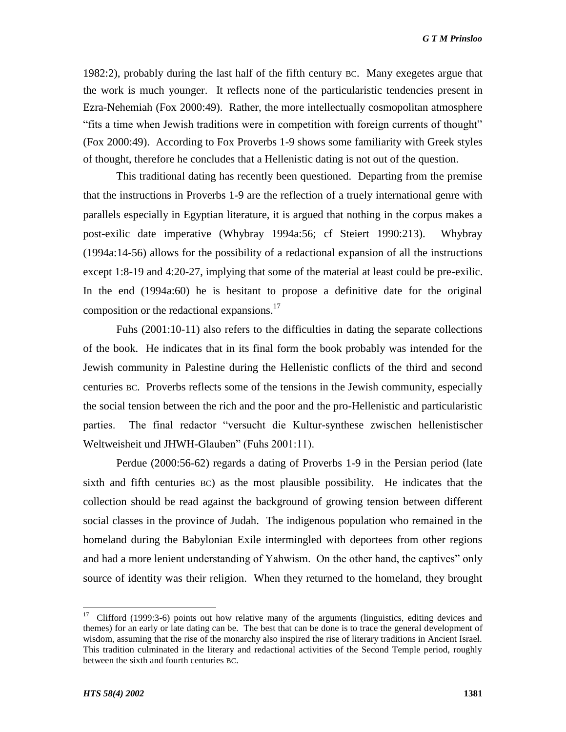1982:2), probably during the last half of the fifth century BC. Many exegetes argue that the work is much younger. It reflects none of the particularistic tendencies present in Ezra-Nehemiah (Fox 2000:49). Rather, the more intellectually cosmopolitan atmosphere ―fits a time when Jewish traditions were in competition with foreign currents of thought‖ (Fox 2000:49). According to Fox Proverbs 1-9 shows some familiarity with Greek styles of thought, therefore he concludes that a Hellenistic dating is not out of the question.

This traditional dating has recently been questioned. Departing from the premise that the instructions in Proverbs 1-9 are the reflection of a truely international genre with parallels especially in Egyptian literature, it is argued that nothing in the corpus makes a post-exilic date imperative (Whybray 1994a:56; cf Steiert 1990:213). Whybray (1994a:14-56) allows for the possibility of a redactional expansion of all the instructions except 1:8-19 and 4:20-27, implying that some of the material at least could be pre-exilic. In the end (1994a:60) he is hesitant to propose a definitive date for the original composition or the redactional expansions.<sup>17</sup>

Fuhs (2001:10-11) also refers to the difficulties in dating the separate collections of the book. He indicates that in its final form the book probably was intended for the Jewish community in Palestine during the Hellenistic conflicts of the third and second centuries BC. Proverbs reflects some of the tensions in the Jewish community, especially the social tension between the rich and the poor and the pro-Hellenistic and particularistic parties. The final redactor "versucht die Kultur-synthese zwischen hellenistischer Weltweisheit und JHWH-Glauben" (Fuhs 2001:11).

Perdue (2000:56-62) regards a dating of Proverbs 1-9 in the Persian period (late sixth and fifth centuries BC) as the most plausible possibility. He indicates that the collection should be read against the background of growing tension between different social classes in the province of Judah. The indigenous population who remained in the homeland during the Babylonian Exile intermingled with deportees from other regions and had a more lenient understanding of Yahwism. On the other hand, the captives" only source of identity was their religion. When they returned to the homeland, they brought

 17 Clifford (1999:3-6) points out how relative many of the arguments (linguistics, editing devices and themes) for an early or late dating can be. The best that can be done is to trace the general development of wisdom, assuming that the rise of the monarchy also inspired the rise of literary traditions in Ancient Israel. This tradition culminated in the literary and redactional activities of the Second Temple period, roughly between the sixth and fourth centuries BC.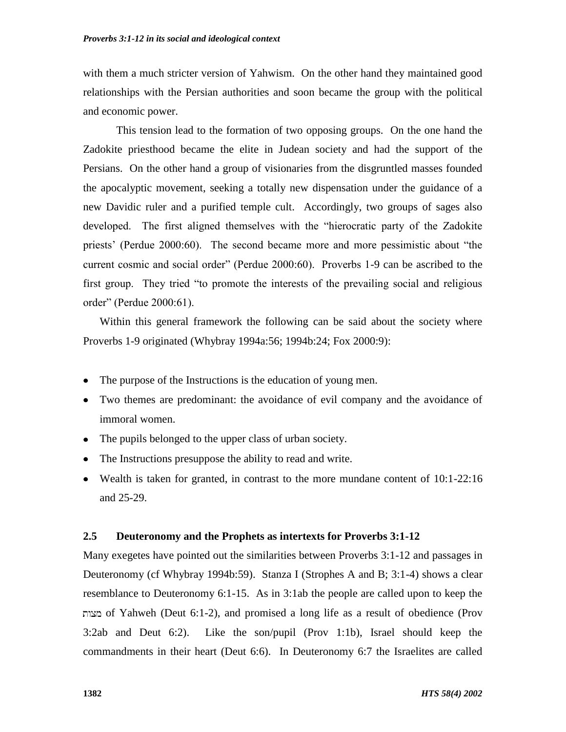with them a much stricter version of Yahwism. On the other hand they maintained good relationships with the Persian authorities and soon became the group with the political and economic power.

This tension lead to the formation of two opposing groups. On the one hand the Zadokite priesthood became the elite in Judean society and had the support of the Persians. On the other hand a group of visionaries from the disgruntled masses founded the apocalyptic movement, seeking a totally new dispensation under the guidance of a new Davidic ruler and a purified temple cult. Accordingly, two groups of sages also developed. The first aligned themselves with the "hierocratic party of the Zadokite" priests' (Perdue 2000:60). The second became more and more pessimistic about "the current cosmic and social order" (Perdue 2000:60). Proverbs 1-9 can be ascribed to the first group. They tried "to promote the interests of the prevailing social and religious order" (Perdue 2000:61).

Within this general framework the following can be said about the society where Proverbs 1-9 originated (Whybray 1994a:56; 1994b:24; Fox 2000:9):

- The purpose of the Instructions is the education of young men.
- Two themes are predominant: the avoidance of evil company and the avoidance of immoral women.
- The pupils belonged to the upper class of urban society.
- The Instructions presuppose the ability to read and write.
- Wealth is taken for granted, in contrast to the more mundane content of 10:1-22:16 and 25-29.

#### **2.5 Deuteronomy and the Prophets as intertexts for Proverbs 3:1-12**

Many exegetes have pointed out the similarities between Proverbs 3:1-12 and passages in Deuteronomy (cf Whybray 1994b:59). Stanza I (Strophes A and B; 3:1-4) shows a clear resemblance to Deuteronomy 6:1-15. As in 3:1ab the people are called upon to keep the of Yahweh (Deut 6:1-2), and promised a long life as a result of obedience (Prov 3:2ab and Deut 6:2). Like the son/pupil (Prov 1:1b), Israel should keep the commandments in their heart (Deut 6:6). In Deuteronomy 6:7 the Israelites are called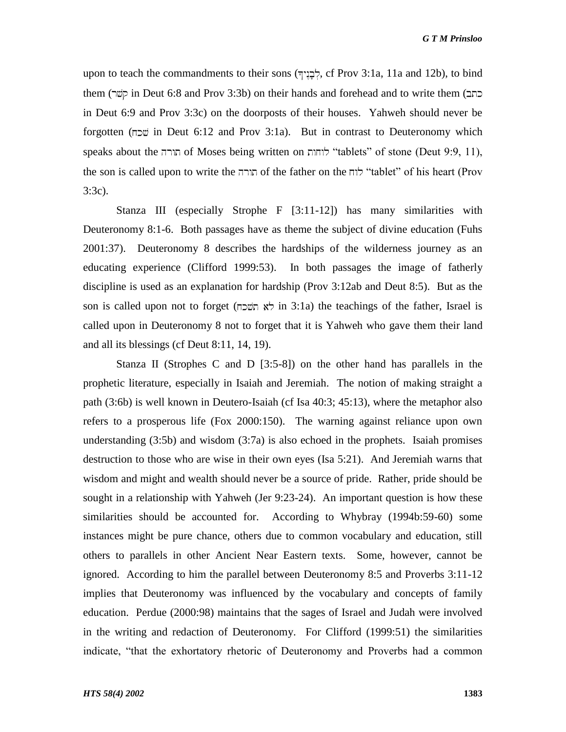upon to teach the commandments to their sons  $(\overline{\tau}$ לֶבְנִי $\overline{\tau}$ , cf Prov 3:1a, 11a and 12b), to bind them (קשר) in Deut 6:8 and Prov 3:3b) on their hands and forehead and to write them (כתב in Deut 6:9 and Prov 3:3c) on the doorposts of their houses. Yahweh should never be forgotten (שכה in Deut 6:12 and Prov 3:1a). But in contrast to Deuteronomy which speaks about the תורה of Moses being written on לוחות "tablets" of stone (Deut 9:9, 11), the son is called upon to write the תורה of the father on the לוח "tablet" of his heart (Prov 3:3c).

Stanza III (especially Strophe F [3:11-12]) has many similarities with Deuteronomy 8:1-6. Both passages have as theme the subject of divine education (Fuhs 2001:37). Deuteronomy 8 describes the hardships of the wilderness journey as an educating experience (Clifford 1999:53). In both passages the image of fatherly discipline is used as an explanation for hardship (Prov 3:12ab and Deut 8:5). But as the son is called upon not to forget ( $\pi$ לא השכח) in 3:1a) the teachings of the father, Israel is called upon in Deuteronomy 8 not to forget that it is Yahweh who gave them their land and all its blessings (cf Deut 8:11, 14, 19).

Stanza II (Strophes C and D [3:5-8]) on the other hand has parallels in the prophetic literature, especially in Isaiah and Jeremiah. The notion of making straight a path (3:6b) is well known in Deutero-Isaiah (cf Isa 40:3; 45:13), where the metaphor also refers to a prosperous life (Fox 2000:150). The warning against reliance upon own understanding  $(3:5b)$  and wisdom  $(3:7a)$  is also echoed in the prophets. Isaiah promises destruction to those who are wise in their own eyes (Isa 5:21). And Jeremiah warns that wisdom and might and wealth should never be a source of pride. Rather, pride should be sought in a relationship with Yahweh (Jer 9:23-24). An important question is how these similarities should be accounted for. According to Whybray (1994b:59-60) some instances might be pure chance, others due to common vocabulary and education, still others to parallels in other Ancient Near Eastern texts. Some, however, cannot be ignored. According to him the parallel between Deuteronomy 8:5 and Proverbs 3:11-12 implies that Deuteronomy was influenced by the vocabulary and concepts of family education. Perdue (2000:98) maintains that the sages of Israel and Judah were involved in the writing and redaction of Deuteronomy. For Clifford (1999:51) the similarities indicate, "that the exhortatory rhetoric of Deuteronomy and Proverbs had a common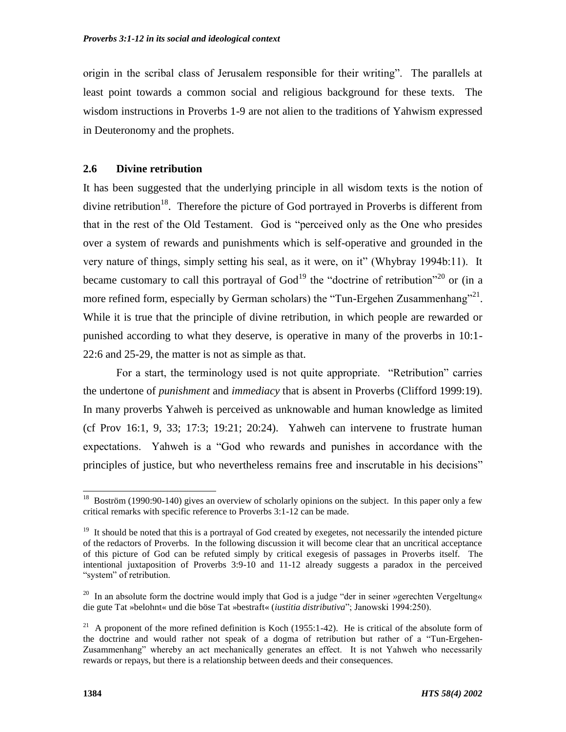origin in the scribal class of Jerusalem responsible for their writing". The parallels at least point towards a common social and religious background for these texts. The wisdom instructions in Proverbs 1-9 are not alien to the traditions of Yahwism expressed in Deuteronomy and the prophets.

#### **2.6 Divine retribution**

It has been suggested that the underlying principle in all wisdom texts is the notion of divine retribution<sup>18</sup>. Therefore the picture of God portrayed in Proverbs is different from that in the rest of the Old Testament. God is "perceived only as the One who presides over a system of rewards and punishments which is self-operative and grounded in the very nature of things, simply setting his seal, as it were, on it‖ (Whybray 1994b:11). It became customary to call this portrayal of  $God<sup>19</sup>$  the "doctrine of retribution"<sup>20</sup> or (in a more refined form, especially by German scholars) the "Tun-Ergehen Zusammenhang"<sup>21</sup>. While it is true that the principle of divine retribution, in which people are rewarded or punished according to what they deserve, is operative in many of the proverbs in 10:1- 22:6 and 25-29, the matter is not as simple as that.

For a start, the terminology used is not quite appropriate. "Retribution" carries the undertone of *punishment* and *immediacy* that is absent in Proverbs (Clifford 1999:19). In many proverbs Yahweh is perceived as unknowable and human knowledge as limited (cf Prov 16:1, 9, 33; 17:3; 19:21; 20:24). Yahweh can intervene to frustrate human expectations. Yahweh is a "God who rewards and punishes in accordance with the principles of justice, but who nevertheless remains free and inscrutable in his decisions"

<sup>&</sup>lt;sup>18</sup> Boström (1990:90-140) gives an overview of scholarly opinions on the subject. In this paper only a few critical remarks with specific reference to Proverbs 3:1-12 can be made.

 $19$  It should be noted that this is a portrayal of God created by exegetes, not necessarily the intended picture of the redactors of Proverbs. In the following discussion it will become clear that an uncritical acceptance of this picture of God can be refuted simply by critical exegesis of passages in Proverbs itself. The intentional juxtaposition of Proverbs 3:9-10 and 11-12 already suggests a paradox in the perceived "system" of retribution.

<sup>&</sup>lt;sup>20</sup> In an absolute form the doctrine would imply that God is a judge "der in seiner »gerechten Vergeltung« die gute Tat »belohnt« und die böse Tat »bestraft« (*iustitia distributiva*‖; Janowski 1994:250).

<sup>&</sup>lt;sup>21</sup> A proponent of the more refined definition is Koch (1955:1-42). He is critical of the absolute form of the doctrine and would rather not speak of a dogma of retribution but rather of a "Tun-Ergehen-Zusammenhang" whereby an act mechanically generates an effect. It is not Yahweh who necessarily rewards or repays, but there is a relationship between deeds and their consequences.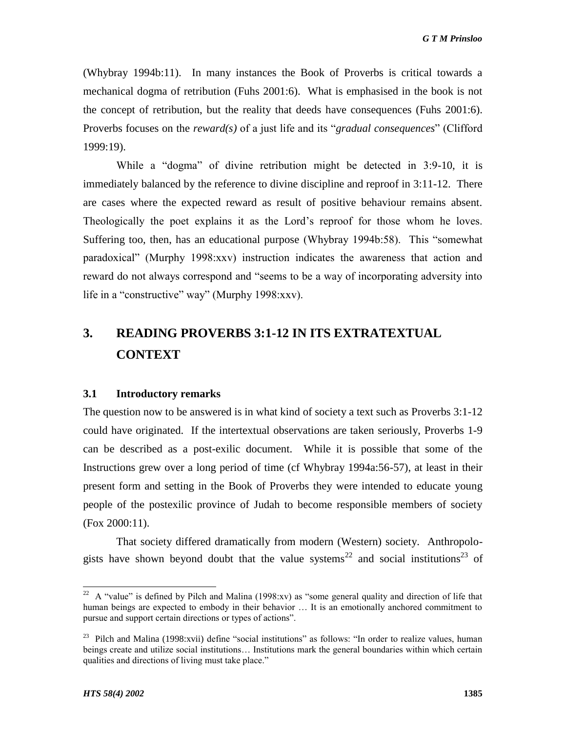(Whybray 1994b:11). In many instances the Book of Proverbs is critical towards a mechanical dogma of retribution (Fuhs 2001:6). What is emphasised in the book is not the concept of retribution, but the reality that deeds have consequences (Fuhs 2001:6). Proverbs focuses on the *reward(s)* of a just life and its "*gradual consequences*" (Clifford 1999:19).

While a "dogma" of divine retribution might be detected in  $3:9-10$ , it is immediately balanced by the reference to divine discipline and reproof in 3:11-12. There are cases where the expected reward as result of positive behaviour remains absent. Theologically the poet explains it as the Lord's reproof for those whom he loves. Suffering too, then, has an educational purpose (Whybray 1994b:58). This "somewhat paradoxical" (Murphy 1998:xxv) instruction indicates the awareness that action and reward do not always correspond and "seems to be a way of incorporating adversity into life in a "constructive" way" (Murphy 1998: $xxv$ ).

# **3. READING PROVERBS 3:1-12 IN ITS EXTRATEXTUAL CONTEXT**

#### **3.1 Introductory remarks**

The question now to be answered is in what kind of society a text such as Proverbs 3:1-12 could have originated. If the intertextual observations are taken seriously, Proverbs 1-9 can be described as a post-exilic document. While it is possible that some of the Instructions grew over a long period of time (cf Whybray 1994a:56-57), at least in their present form and setting in the Book of Proverbs they were intended to educate young people of the postexilic province of Judah to become responsible members of society (Fox 2000:11).

That society differed dramatically from modern (Western) society. Anthropologists have shown beyond doubt that the value systems<sup>22</sup> and social institutions<sup>23</sup> of

 $\frac{22}{2}$  A "value" is defined by Pilch and Malina (1998:xv) as "some general quality and direction of life that human beings are expected to embody in their behavior ... It is an emotionally anchored commitment to pursue and support certain directions or types of actions".

<sup>&</sup>lt;sup>23</sup> Pilch and Malina (1998:xvii) define "social institutions" as follows: "In order to realize values, human beings create and utilize social institutions… Institutions mark the general boundaries within which certain qualities and directions of living must take place."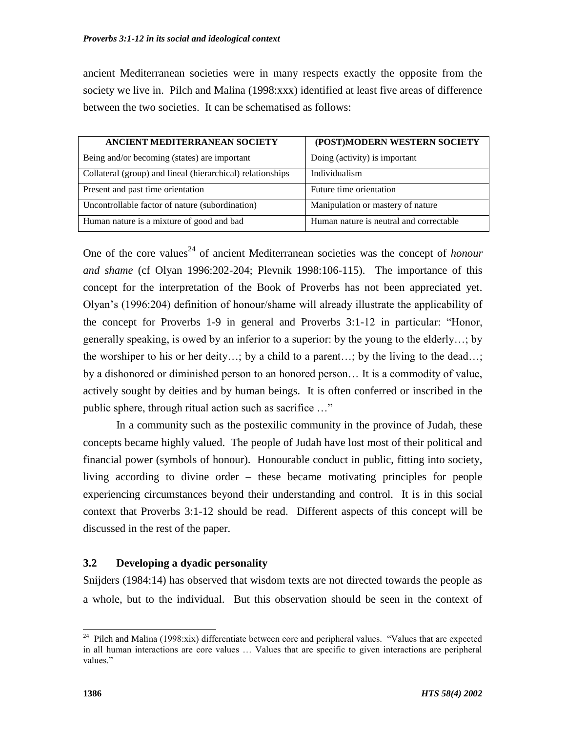ancient Mediterranean societies were in many respects exactly the opposite from the society we live in. Pilch and Malina (1998:xxx) identified at least five areas of difference between the two societies. It can be schematised as follows:

| ANCIENT MEDITERRANEAN SOCIETY                              | (POST)MODERN WESTERN SOCIETY            |
|------------------------------------------------------------|-----------------------------------------|
| Being and/or becoming (states) are important               | Doing (activity) is important           |
| Collateral (group) and lineal (hierarchical) relationships | Individualism                           |
| Present and past time orientation                          | Future time orientation                 |
| Uncontrollable factor of nature (subordination)            | Manipulation or mastery of nature       |
| Human nature is a mixture of good and bad                  | Human nature is neutral and correctable |

One of the core values<sup>24</sup> of ancient Mediterranean societies was the concept of *honour and shame* (cf Olyan 1996:202-204; Plevnik 1998:106-115). The importance of this concept for the interpretation of the Book of Proverbs has not been appreciated yet. Olyan's (1996:204) definition of honour/shame will already illustrate the applicability of the concept for Proverbs  $1-9$  in general and Proverbs  $3:1-12$  in particular: "Honor, generally speaking, is owed by an inferior to a superior: by the young to the elderly…; by the worshiper to his or her deity…; by a child to a parent…; by the living to the dead…; by a dishonored or diminished person to an honored person… It is a commodity of value, actively sought by deities and by human beings. It is often conferred or inscribed in the public sphere, through ritual action such as sacrifice ..."

In a community such as the postexilic community in the province of Judah, these concepts became highly valued. The people of Judah have lost most of their political and financial power (symbols of honour). Honourable conduct in public, fitting into society, living according to divine order – these became motivating principles for people experiencing circumstances beyond their understanding and control. It is in this social context that Proverbs 3:1-12 should be read. Different aspects of this concept will be discussed in the rest of the paper.

# **3.2 Developing a dyadic personality**

Snijders (1984:14) has observed that wisdom texts are not directed towards the people as a whole, but to the individual. But this observation should be seen in the context of

<sup>&</sup>lt;sup>24</sup> Pilch and Malina (1998:xix) differentiate between core and peripheral values. "Values that are expected in all human interactions are core values … Values that are specific to given interactions are peripheral values."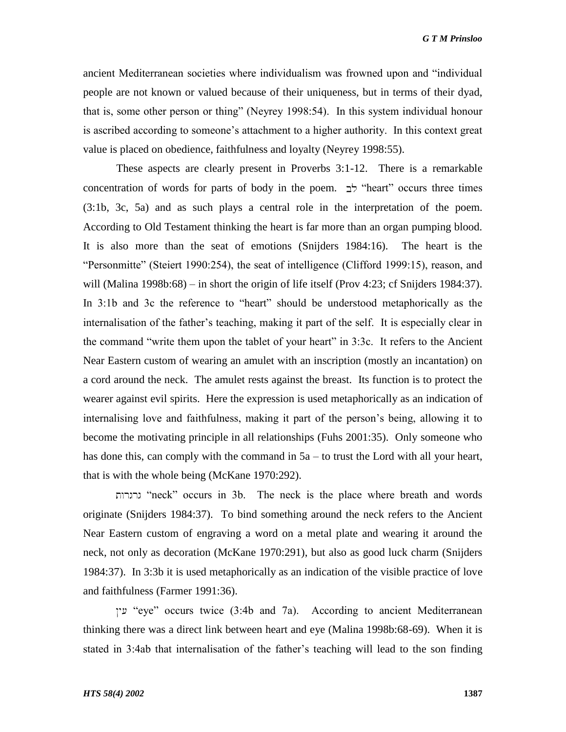*G T M Prinsloo*

ancient Mediterranean societies where individualism was frowned upon and "individual people are not known or valued because of their uniqueness, but in terms of their dyad, that is, some other person or thing" (Neyrey 1998:54). In this system individual honour is ascribed according to someone's attachment to a higher authority. In this context great value is placed on obedience, faithfulness and loyalty (Neyrey 1998:55).

These aspects are clearly present in Proverbs 3:1-12. There is a remarkable concentration of words for parts of body in the poem.  $\forall$  "heart" occurs three times (3:1b, 3c, 5a) and as such plays a central role in the interpretation of the poem. According to Old Testament thinking the heart is far more than an organ pumping blood. It is also more than the seat of emotions (Snijders 1984:16). The heart is the "Personmitte" (Steiert 1990:254), the seat of intelligence (Clifford 1999:15), reason, and will (Malina 1998b:68) – in short the origin of life itself (Prov 4:23; cf Snijders 1984:37). In 3:1b and 3c the reference to "heart" should be understood metaphorically as the internalisation of the father's teaching, making it part of the self. It is especially clear in the command "write them upon the tablet of your heart" in 3:3c. It refers to the Ancient Near Eastern custom of wearing an amulet with an inscription (mostly an incantation) on a cord around the neck. The amulet rests against the breast. Its function is to protect the wearer against evil spirits. Here the expression is used metaphorically as an indication of internalising love and faithfulness, making it part of the person's being, allowing it to become the motivating principle in all relationships (Fuhs 2001:35). Only someone who has done this, can comply with the command in 5a – to trust the Lord with all your heart, that is with the whole being (McKane 1970:292).

―neck‖ occurs in 3b. The neck is the place where breath and words originate (Snijders 1984:37). To bind something around the neck refers to the Ancient Near Eastern custom of engraving a word on a metal plate and wearing it around the neck, not only as decoration (McKane 1970:291), but also as good luck charm (Snijders 1984:37). In 3:3b it is used metaphorically as an indication of the visible practice of love and faithfulness (Farmer 1991:36).

―eye‖ occurs twice (3:4b and 7a). According to ancient Mediterranean thinking there was a direct link between heart and eye (Malina 1998b:68-69). When it is stated in 3:4ab that internalisation of the father's teaching will lead to the son finding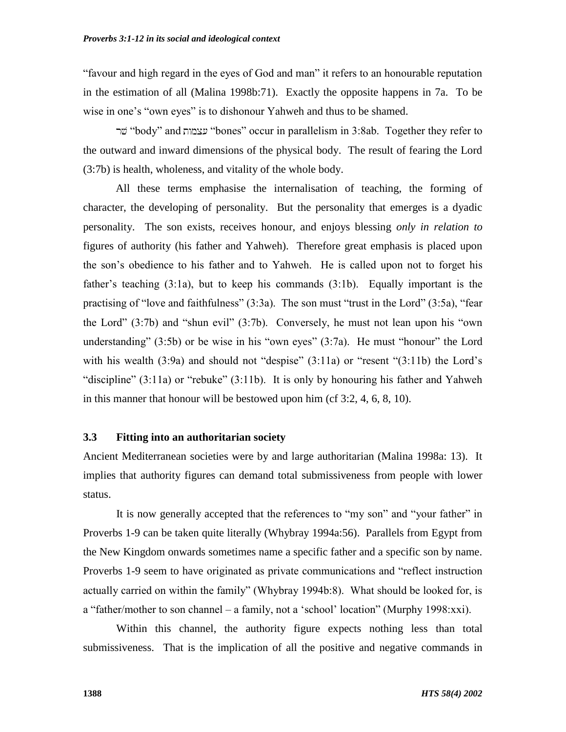―favour and high regard in the eyes of God and man‖ it refers to an honourable reputation in the estimation of all (Malina 1998b:71). Exactly the opposite happens in 7a. To be wise in one's "own eyes" is to dishonour Yahweh and thus to be shamed.

―body‖ and ―bones‖ occur in parallelism in 3:8ab. Together they refer to the outward and inward dimensions of the physical body. The result of fearing the Lord (3:7b) is health, wholeness, and vitality of the whole body.

All these terms emphasise the internalisation of teaching, the forming of character, the developing of personality. But the personality that emerges is a dyadic personality. The son exists, receives honour, and enjoys blessing *only in relation to* figures of authority (his father and Yahweh). Therefore great emphasis is placed upon the son's obedience to his father and to Yahweh. He is called upon not to forget his father's teaching (3:1a), but to keep his commands (3:1b). Equally important is the practising of "love and faithfulness"  $(3:3a)$ . The son must "trust in the Lord"  $(3:5a)$ , "fear the Lord"  $(3:7b)$  and "shun evil"  $(3:7b)$ . Conversely, he must not lean upon his "own understanding"  $(3:5b)$  or be wise in his "own eyes"  $(3:7a)$ . He must "honour" the Lord with his wealth  $(3:9a)$  and should not "despise"  $(3:11a)$  or "resent " $(3:11b)$  the Lord's "discipline"  $(3:11a)$  or "rebuke"  $(3:11b)$ . It is only by honouring his father and Yahweh in this manner that honour will be bestowed upon him (cf 3:2, 4, 6, 8, 10).

#### **3.3 Fitting into an authoritarian society**

Ancient Mediterranean societies were by and large authoritarian (Malina 1998a: 13). It implies that authority figures can demand total submissiveness from people with lower status.

It is now generally accepted that the references to "my son" and "your father" in Proverbs 1-9 can be taken quite literally (Whybray 1994a:56). Parallels from Egypt from the New Kingdom onwards sometimes name a specific father and a specific son by name. Proverbs 1-9 seem to have originated as private communications and "reflect instruction actually carried on within the family" (Whybray 1994b:8). What should be looked for, is  $a$  "father/mother to son channel – a family, not a 'school' location" (Murphy 1998: $xxi$ ).

Within this channel, the authority figure expects nothing less than total submissiveness. That is the implication of all the positive and negative commands in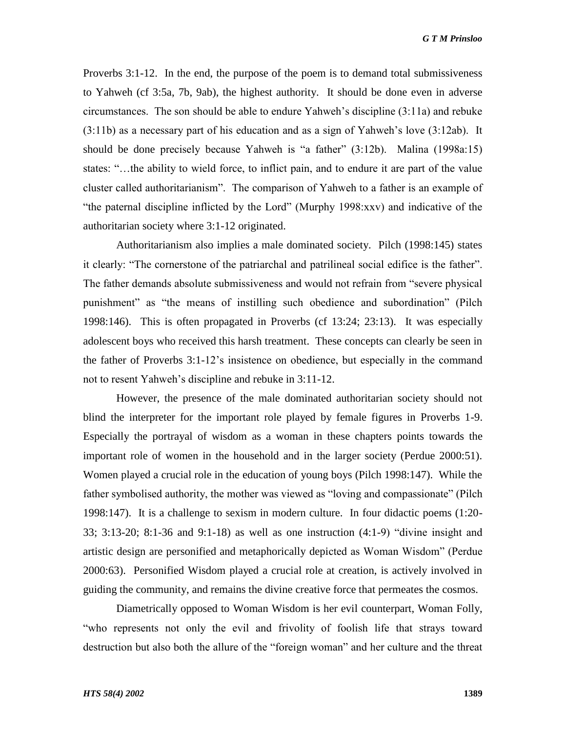Proverbs 3:1-12. In the end, the purpose of the poem is to demand total submissiveness to Yahweh (cf 3:5a, 7b, 9ab), the highest authority. It should be done even in adverse circumstances. The son should be able to endure Yahweh's discipline (3:11a) and rebuke (3:11b) as a necessary part of his education and as a sign of Yahweh's love (3:12ab). It should be done precisely because Yahweh is "a father"  $(3:12b)$ . Malina  $(1998a:15)$ states: "...the ability to wield force, to inflict pain, and to endure it are part of the value cluster called authoritarianism". The comparison of Yahweh to a father is an example of ―the paternal discipline inflicted by the Lord‖ (Murphy 1998:xxv) and indicative of the authoritarian society where 3:1-12 originated.

Authoritarianism also implies a male dominated society. Pilch (1998:145) states it clearly: "The cornerstone of the patriarchal and patrilineal social edifice is the father". The father demands absolute submissiveness and would not refrain from "severe physical punishment" as "the means of instilling such obedience and subordination" (Pilch 1998:146). This is often propagated in Proverbs (cf 13:24; 23:13). It was especially adolescent boys who received this harsh treatment. These concepts can clearly be seen in the father of Proverbs 3:1-12's insistence on obedience, but especially in the command not to resent Yahweh's discipline and rebuke in 3:11-12.

However, the presence of the male dominated authoritarian society should not blind the interpreter for the important role played by female figures in Proverbs 1-9. Especially the portrayal of wisdom as a woman in these chapters points towards the important role of women in the household and in the larger society (Perdue 2000:51). Women played a crucial role in the education of young boys (Pilch 1998:147). While the father symbolised authority, the mother was viewed as "loving and compassionate" (Pilch 1998:147). It is a challenge to sexism in modern culture. In four didactic poems (1:20- 33; 3:13-20; 8:1-36 and 9:1-18) as well as one instruction  $(4:1-9)$  "divine insight and artistic design are personified and metaphorically depicted as Woman Wisdom‖ (Perdue 2000:63). Personified Wisdom played a crucial role at creation, is actively involved in guiding the community, and remains the divine creative force that permeates the cosmos.

Diametrically opposed to Woman Wisdom is her evil counterpart, Woman Folly, ―who represents not only the evil and frivolity of foolish life that strays toward destruction but also both the allure of the "foreign woman" and her culture and the threat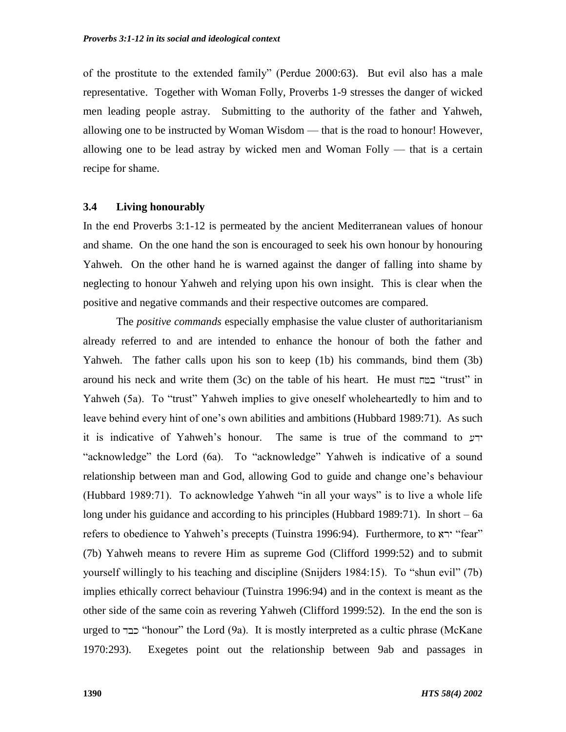of the prostitute to the extended family" (Perdue 2000:63). But evil also has a male representative. Together with Woman Folly, Proverbs 1-9 stresses the danger of wicked men leading people astray. Submitting to the authority of the father and Yahweh, allowing one to be instructed by Woman Wisdom — that is the road to honour! However, allowing one to be lead astray by wicked men and Woman Folly — that is a certain recipe for shame.

#### **3.4 Living honourably**

In the end Proverbs 3:1-12 is permeated by the ancient Mediterranean values of honour and shame. On the one hand the son is encouraged to seek his own honour by honouring Yahweh. On the other hand he is warned against the danger of falling into shame by neglecting to honour Yahweh and relying upon his own insight. This is clear when the positive and negative commands and their respective outcomes are compared.

The *positive commands* especially emphasise the value cluster of authoritarianism already referred to and are intended to enhance the honour of both the father and Yahweh. The father calls upon his son to keep (1b) his commands, bind them (3b) around his neck and write them  $(3c)$  on the table of his heart. He must  $\text{m}$  "trust" in Yahweh (5a). To "trust" Yahweh implies to give oneself wholeheartedly to him and to leave behind every hint of one's own abilities and ambitions (Hubbard 1989:71). As such it is indicative of Yahweh's honour. The same is true of the command to "acknowledge" the Lord (6a). To "acknowledge" Yahweh is indicative of a sound relationship between man and God, allowing God to guide and change one's behaviour (Hubbard 1989:71). To acknowledge Yahweh "in all your ways" is to live a whole life long under his guidance and according to his principles (Hubbard 1989:71). In short – 6a refers to obedience to Yahweh's precepts (Tuinstra 1996:94). Furthermore, to <sup>"fear"</sup> (7b) Yahweh means to revere Him as supreme God (Clifford 1999:52) and to submit yourself willingly to his teaching and discipline (Snijders 1984:15). To "shun evil" (7b) implies ethically correct behaviour (Tuinstra 1996:94) and in the context is meant as the other side of the same coin as revering Yahweh (Clifford 1999:52). In the end the son is urged to בבד "honour" the Lord (9a). It is mostly interpreted as a cultic phrase (McKane 1970:293). Exegetes point out the relationship between 9ab and passages in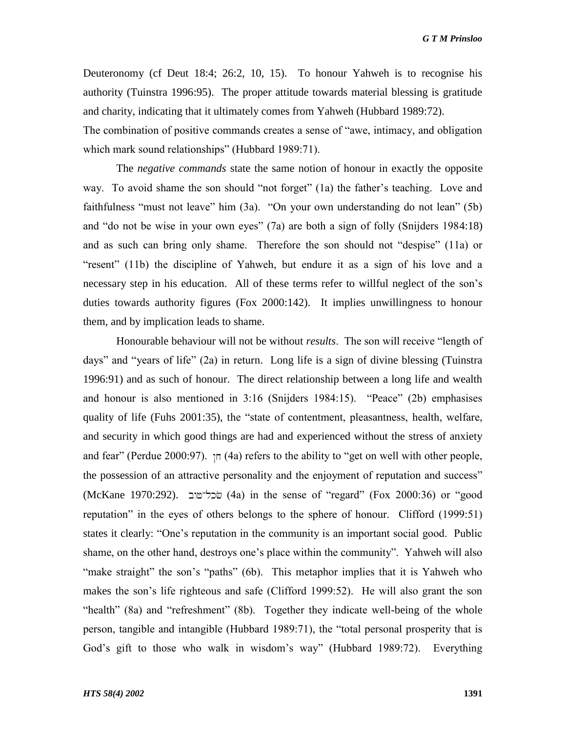*G T M Prinsloo*

Deuteronomy (cf Deut 18:4; 26:2, 10, 15). To honour Yahweh is to recognise his authority (Tuinstra 1996:95). The proper attitude towards material blessing is gratitude and charity, indicating that it ultimately comes from Yahweh (Hubbard 1989:72).

The combination of positive commands creates a sense of "awe, intimacy, and obligation which mark sound relationships" (Hubbard 1989:71).

The *negative commands* state the same notion of honour in exactly the opposite way. To avoid shame the son should "not forget" (1a) the father's teaching. Love and faithfulness "must not leave" him  $(3a)$ . "On your own understanding do not lean"  $(5b)$ and "do not be wise in your own eyes"  $(7a)$  are both a sign of folly (Snijders 1984:18) and as such can bring only shame. Therefore the son should not "despise"  $(11a)$  or "resent" (11b) the discipline of Yahweh, but endure it as a sign of his love and a necessary step in his education. All of these terms refer to willful neglect of the son's duties towards authority figures (Fox 2000:142). It implies unwillingness to honour them, and by implication leads to shame.

Honourable behaviour will not be without *results*. The son will receive "length of days" and "years of life" (2a) in return. Long life is a sign of divine blessing (Tuinstra 1996:91) and as such of honour. The direct relationship between a long life and wealth and honour is also mentioned in  $3.16$  (Snijders 1984:15). "Peace" (2b) emphasises quality of life (Fuhs  $2001:35$ ), the "state of contentment, pleasantness, health, welfare, and security in which good things are had and experienced without the stress of anxiety and fear" (Perdue 2000:97).  $\pi$  (4a) refers to the ability to "get on well with other people, the possession of an attractive personality and the enjoyment of reputation and success" (McKane 1970:292). (4a) in the sense of ―regard‖ (Fox 2000:36) or ―good reputation" in the eyes of others belongs to the sphere of honour. Clifford (1999:51) states it clearly: "One's reputation in the community is an important social good. Public shame, on the other hand, destroys one's place within the community". Yahweh will also "make straight" the son's "paths" (6b). This metaphor implies that it is Yahweh who makes the son's life righteous and safe (Clifford 1999:52). He will also grant the son "health" (8a) and "refreshment" (8b). Together they indicate well-being of the whole person, tangible and intangible (Hubbard 1989:71), the "total personal prosperity that is God's gift to those who walk in wisdom's way" (Hubbard 1989:72). Everything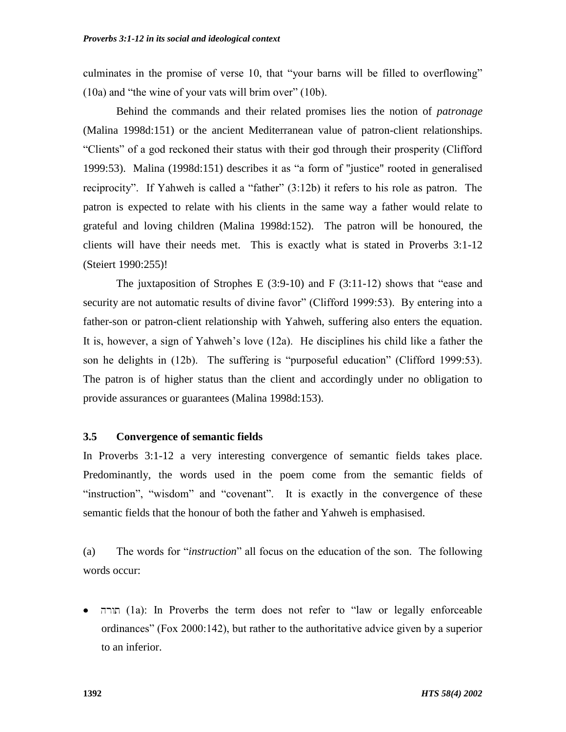culminates in the promise of verse 10, that "your barns will be filled to overflowing"  $(10a)$  and "the wine of your vats will brim over"  $(10b)$ .

Behind the commands and their related promises lies the notion of *patronage* (Malina 1998d:151) or the ancient Mediterranean value of patron-client relationships. ―Clients‖ of a god reckoned their status with their god through their prosperity (Clifford 1999:53). Malina (1998d:151) describes it as "a form of "justice" rooted in generalised reciprocity". If Yahweh is called a "father"  $(3.12b)$  it refers to his role as patron. The patron is expected to relate with his clients in the same way a father would relate to grateful and loving children (Malina 1998d:152). The patron will be honoured, the clients will have their needs met. This is exactly what is stated in Proverbs 3:1-12 (Steiert 1990:255)!

The juxtaposition of Strophes E  $(3:9-10)$  and F  $(3:11-12)$  shows that "ease and security are not automatic results of divine favor" (Clifford 1999:53). By entering into a father-son or patron-client relationship with Yahweh, suffering also enters the equation. It is, however, a sign of Yahweh's love (12a). He disciplines his child like a father the son he delights in  $(12b)$ . The suffering is "purposeful education" (Clifford 1999:53). The patron is of higher status than the client and accordingly under no obligation to provide assurances or guarantees (Malina 1998d:153).

#### **3.5 Convergence of semantic fields**

In Proverbs 3:1-12 a very interesting convergence of semantic fields takes place. Predominantly, the words used in the poem come from the semantic fields of "instruction", "wisdom" and "covenant". It is exactly in the convergence of these semantic fields that the honour of both the father and Yahweh is emphasised.

(a) The words for "*instruction*" all focus on the education of the son. The following words occur:

(1a): In Proverbs the term does not refer to ―law or legally enforceable ordinances‖ (Fox 2000:142), but rather to the authoritative advice given by a superior to an inferior.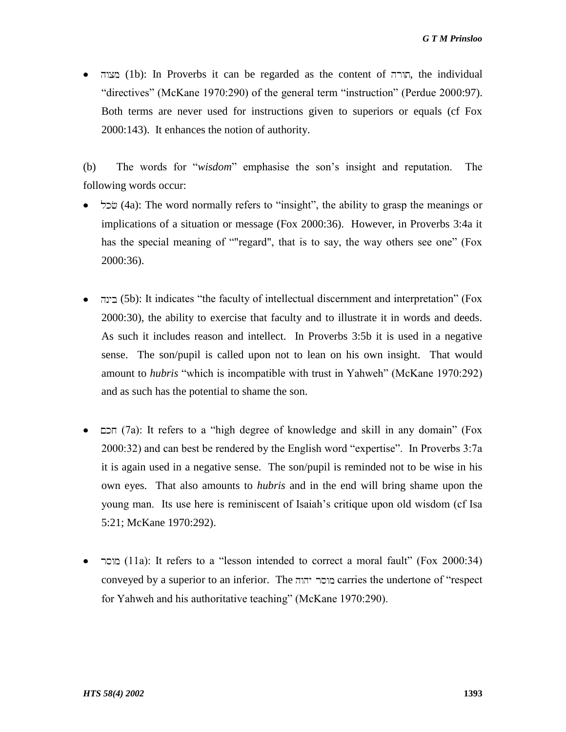תורה (1b): In Proverbs it can be regarded as the content of , תורה, the individual "directives" (McKane 1970:290) of the general term "instruction" (Perdue 2000:97). Both terms are never used for instructions given to superiors or equals (cf Fox 2000:143). It enhances the notion of authority.

(b) The words for "*wisdom*" emphasise the son's insight and reputation. The following words occur:

- שׂכל (4a): The word normally refers to "insight", the ability to grasp the meanings or implications of a situation or message (Fox 2000:36). However, in Proverbs 3:4a it has the special meaning of ""regard", that is to say, the way others see one" (Fox 2000:36).
- (5b): It indicates ―the faculty of intellectual discernment and interpretation‖ (Fox 2000:30), the ability to exercise that faculty and to illustrate it in words and deeds. As such it includes reason and intellect. In Proverbs 3:5b it is used in a negative sense. The son/pupil is called upon not to lean on his own insight. That would amount to *hubris* "which is incompatible with trust in Yahweh" (McKane 1970:292) and as such has the potential to shame the son.
- הכם (7a): It refers to a "high degree of knowledge and skill in any domain" (Fox  $2000:32$ ) and can best be rendered by the English word "expertise". In Proverbs  $3:7a$ it is again used in a negative sense. The son/pupil is reminded not to be wise in his own eyes. That also amounts to *hubris* and in the end will bring shame upon the young man. Its use here is reminiscent of Isaiah's critique upon old wisdom (cf Isa 5:21; McKane 1970:292).
- מוסר (11a): It refers to a "lesson intended to correct a moral fault" (Fox 2000:34) conveyed by a superior to an inferior. The carries the undertone of ―respect for Yahweh and his authoritative teaching" (McKane 1970:290).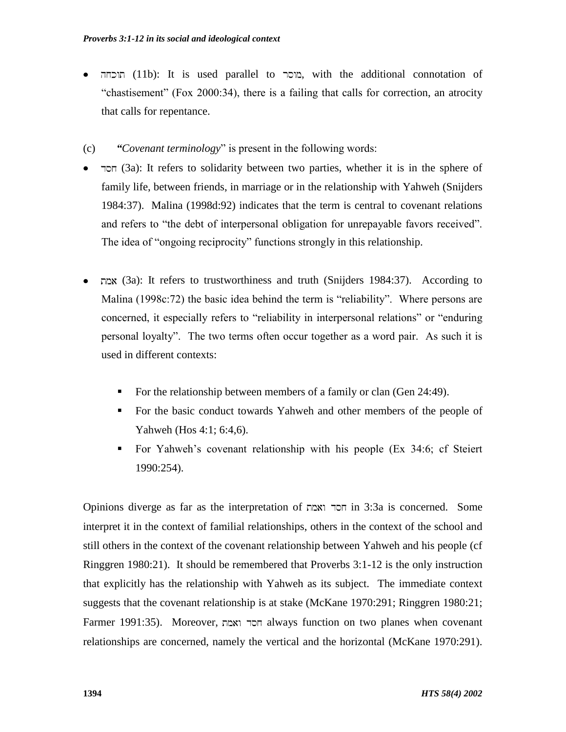- הוכחה (11b): It is used parallel to , מוסר with the additional connotation of ―chastisement‖ (Fox 2000:34), there is a failing that calls for correction, an atrocity that calls for repentance.
- (c) *"Covenant terminology*" is present in the following words:
- (3a): It refers to solidarity between two parties, whether it is in the sphere of family life, between friends, in marriage or in the relationship with Yahweh (Snijders 1984:37). Malina (1998d:92) indicates that the term is central to covenant relations and refers to "the debt of interpersonal obligation for unrepayable favors received". The idea of "ongoing reciprocity" functions strongly in this relationship.
- (3a): It refers to trustworthiness and truth (Snijders 1984:37). According to Malina  $(1998c:72)$  the basic idea behind the term is "reliability". Where persons are concerned, it especially refers to "reliability in interpersonal relations" or "enduring personal loyalty‖. The two terms often occur together as a word pair. As such it is used in different contexts:
	- For the relationship between members of a family or clan (Gen 24:49).
	- For the basic conduct towards Yahweh and other members of the people of Yahweh (Hos 4:1; 6:4,6).
	- For Yahweh's covenant relationship with his people (Ex 34:6; cf Steiert 1990:254).

Opinions diverge as far as the interpretation of in 3:3a is concerned. Some interpret it in the context of familial relationships, others in the context of the school and still others in the context of the covenant relationship between Yahweh and his people (cf Ringgren 1980:21). It should be remembered that Proverbs 3:1-12 is the only instruction that explicitly has the relationship with Yahweh as its subject. The immediate context suggests that the covenant relationship is at stake (McKane 1970:291; Ringgren 1980:21; Farmer 1991:35). Moreover, always function on two planes when covenant relationships are concerned, namely the vertical and the horizontal (McKane 1970:291).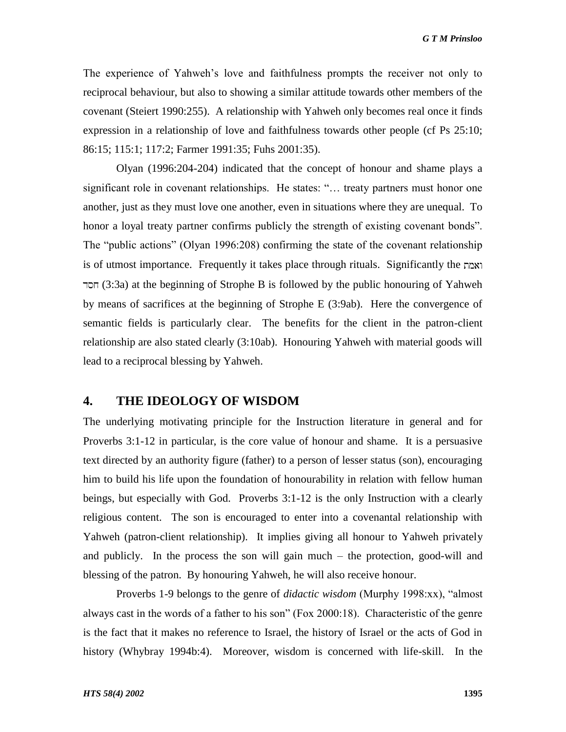The experience of Yahweh's love and faithfulness prompts the receiver not only to reciprocal behaviour, but also to showing a similar attitude towards other members of the covenant (Steiert 1990:255). A relationship with Yahweh only becomes real once it finds expression in a relationship of love and faithfulness towards other people (cf Ps 25:10; 86:15; 115:1; 117:2; Farmer 1991:35; Fuhs 2001:35).

Olyan (1996:204-204) indicated that the concept of honour and shame plays a significant role in covenant relationships. He states: "... treaty partners must honor one another, just as they must love one another, even in situations where they are unequal. To honor a loyal treaty partner confirms publicly the strength of existing covenant bonds". The "public actions" (Olyan 1996:208) confirming the state of the covenant relationship is of utmost importance. Frequently it takes place through rituals. Significantly the (3:3a) at the beginning of Strophe B is followed by the public honouring of Yahweh by means of sacrifices at the beginning of Strophe E (3:9ab). Here the convergence of semantic fields is particularly clear. The benefits for the client in the patron-client relationship are also stated clearly (3:10ab). Honouring Yahweh with material goods will lead to a reciprocal blessing by Yahweh.

# **4. THE IDEOLOGY OF WISDOM**

The underlying motivating principle for the Instruction literature in general and for Proverbs 3:1-12 in particular, is the core value of honour and shame. It is a persuasive text directed by an authority figure (father) to a person of lesser status (son), encouraging him to build his life upon the foundation of honourability in relation with fellow human beings, but especially with God. Proverbs 3:1-12 is the only Instruction with a clearly religious content. The son is encouraged to enter into a covenantal relationship with Yahweh (patron-client relationship). It implies giving all honour to Yahweh privately and publicly. In the process the son will gain much – the protection, good-will and blessing of the patron. By honouring Yahweh, he will also receive honour.

Proverbs 1-9 belongs to the genre of *didactic wisdom* (Murphy 1998:xx), "almost always cast in the words of a father to his son" (Fox 2000:18). Characteristic of the genre is the fact that it makes no reference to Israel, the history of Israel or the acts of God in history (Whybray 1994b:4). Moreover, wisdom is concerned with life-skill. In the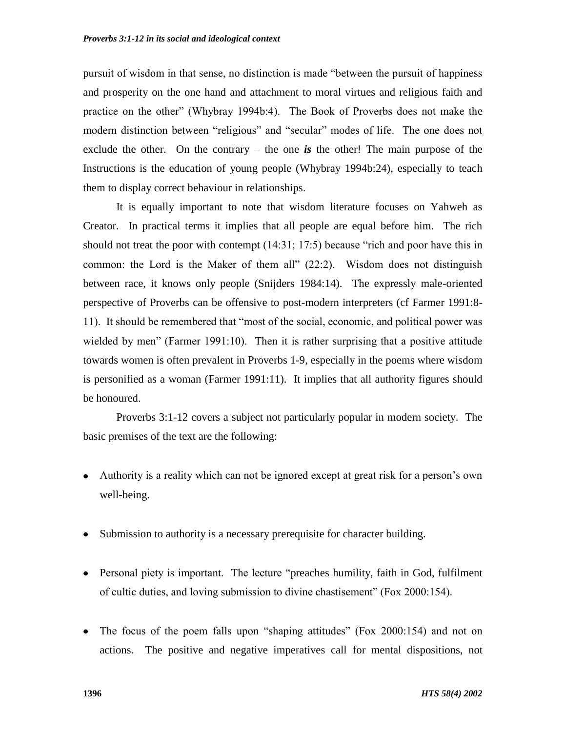pursuit of wisdom in that sense, no distinction is made "between the pursuit of happiness" and prosperity on the one hand and attachment to moral virtues and religious faith and practice on the other" (Whybray 1994b:4). The Book of Proverbs does not make the modern distinction between "religious" and "secular" modes of life. The one does not exclude the other. On the contrary  $-$  the one *is* the other! The main purpose of the Instructions is the education of young people (Whybray 1994b:24), especially to teach them to display correct behaviour in relationships.

It is equally important to note that wisdom literature focuses on Yahweh as Creator. In practical terms it implies that all people are equal before him. The rich should not treat the poor with contempt  $(14:31; 17:5)$  because "rich and poor have this in common: the Lord is the Maker of them all"  $(22:2)$ . Wisdom does not distinguish between race, it knows only people (Snijders 1984:14). The expressly male-oriented perspective of Proverbs can be offensive to post-modern interpreters (cf Farmer 1991:8- 11). It should be remembered that "most of the social, economic, and political power was wielded by men" (Farmer 1991:10). Then it is rather surprising that a positive attitude towards women is often prevalent in Proverbs 1-9, especially in the poems where wisdom is personified as a woman (Farmer 1991:11). It implies that all authority figures should be honoured.

Proverbs 3:1-12 covers a subject not particularly popular in modern society. The basic premises of the text are the following:

- Authority is a reality which can not be ignored except at great risk for a person's own well-being.
- Submission to authority is a necessary prerequisite for character building.
- Personal piety is important. The lecture "preaches humility, faith in God, fulfilment of cultic duties, and loving submission to divine chastisement" (Fox 2000:154).
- The focus of the poem falls upon "shaping attitudes" (Fox  $2000:154$ ) and not on actions. The positive and negative imperatives call for mental dispositions, not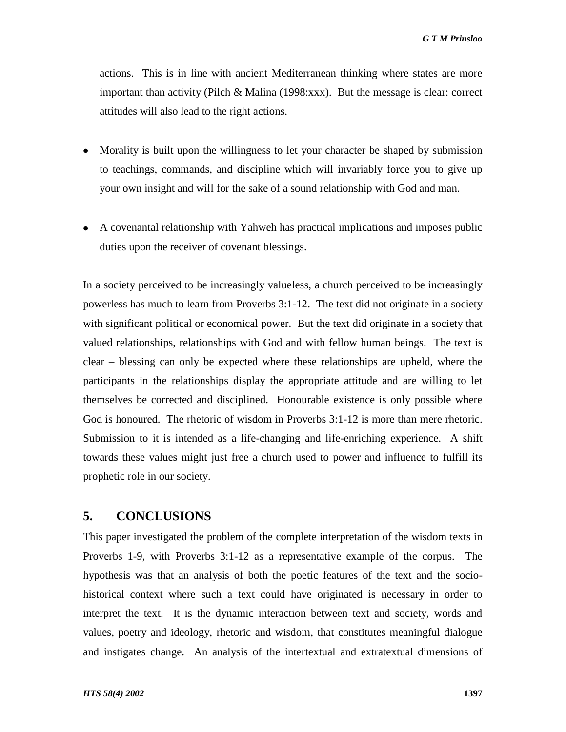actions. This is in line with ancient Mediterranean thinking where states are more important than activity (Pilch & Malina (1998:xxx). But the message is clear: correct attitudes will also lead to the right actions.

- Morality is built upon the willingness to let your character be shaped by submission to teachings, commands, and discipline which will invariably force you to give up your own insight and will for the sake of a sound relationship with God and man.
- A covenantal relationship with Yahweh has practical implications and imposes public duties upon the receiver of covenant blessings.

In a society perceived to be increasingly valueless, a church perceived to be increasingly powerless has much to learn from Proverbs 3:1-12. The text did not originate in a society with significant political or economical power. But the text did originate in a society that valued relationships, relationships with God and with fellow human beings. The text is clear – blessing can only be expected where these relationships are upheld, where the participants in the relationships display the appropriate attitude and are willing to let themselves be corrected and disciplined. Honourable existence is only possible where God is honoured. The rhetoric of wisdom in Proverbs 3:1-12 is more than mere rhetoric. Submission to it is intended as a life-changing and life-enriching experience. A shift towards these values might just free a church used to power and influence to fulfill its prophetic role in our society.

### **5. CONCLUSIONS**

This paper investigated the problem of the complete interpretation of the wisdom texts in Proverbs 1-9, with Proverbs 3:1-12 as a representative example of the corpus. The hypothesis was that an analysis of both the poetic features of the text and the sociohistorical context where such a text could have originated is necessary in order to interpret the text. It is the dynamic interaction between text and society, words and values, poetry and ideology, rhetoric and wisdom, that constitutes meaningful dialogue and instigates change. An analysis of the intertextual and extratextual dimensions of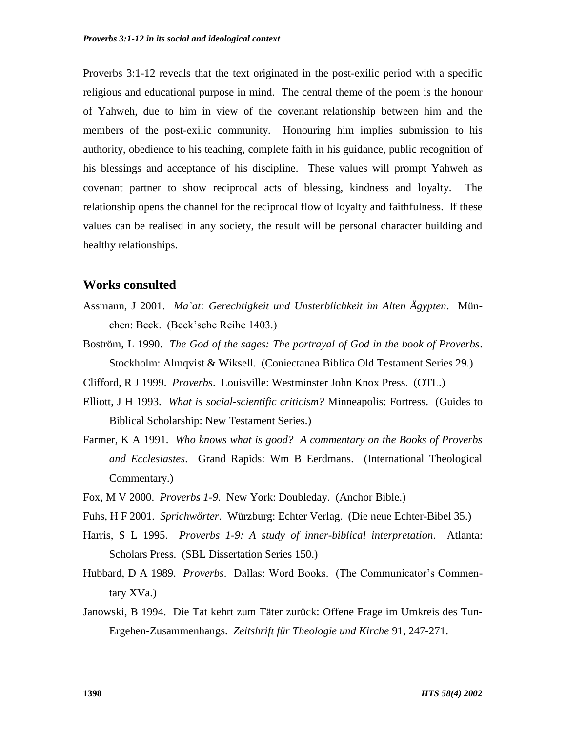Proverbs 3:1-12 reveals that the text originated in the post-exilic period with a specific religious and educational purpose in mind. The central theme of the poem is the honour of Yahweh, due to him in view of the covenant relationship between him and the members of the post-exilic community. Honouring him implies submission to his authority, obedience to his teaching, complete faith in his guidance, public recognition of his blessings and acceptance of his discipline. These values will prompt Yahweh as covenant partner to show reciprocal acts of blessing, kindness and loyalty. The relationship opens the channel for the reciprocal flow of loyalty and faithfulness. If these values can be realised in any society, the result will be personal character building and healthy relationships.

# **Works consulted**

- Assmann, J 2001. *Ma`at: Gerechtigkeit und Unsterblichkeit im Alten Ägypten*. München: Beck. (Beck'sche Reihe 1403.)
- Boström, L 1990. *The God of the sages: The portrayal of God in the book of Proverbs*. Stockholm: Almqvist & Wiksell. (Coniectanea Biblica Old Testament Series 29.)
- Clifford, R J 1999. *Proverbs*. Louisville: Westminster John Knox Press. (OTL.)
- Elliott, J H 1993. *What is social-scientific criticism?* Minneapolis: Fortress. (Guides to Biblical Scholarship: New Testament Series.)
- Farmer, K A 1991. *Who knows what is good? A commentary on the Books of Proverbs and Ecclesiastes*. Grand Rapids: Wm B Eerdmans. (International Theological Commentary.)
- Fox, M V 2000. *Proverbs 1-9*. New York: Doubleday. (Anchor Bible.)
- Fuhs, H F 2001. *Sprichwörter*. Würzburg: Echter Verlag. (Die neue Echter-Bibel 35.)
- Harris, S L 1995. *Proverbs 1-9: A study of inner-biblical interpretation*. Atlanta: Scholars Press. (SBL Dissertation Series 150.)
- Hubbard, D A 1989. *Proverbs*. Dallas: Word Books. (The Communicator's Commentary XVa.)
- Janowski, B 1994. Die Tat kehrt zum Täter zurück: Offene Frage im Umkreis des Tun-Ergehen-Zusammenhangs. *Zeitshrift für Theologie und Kirche* 91, 247-271.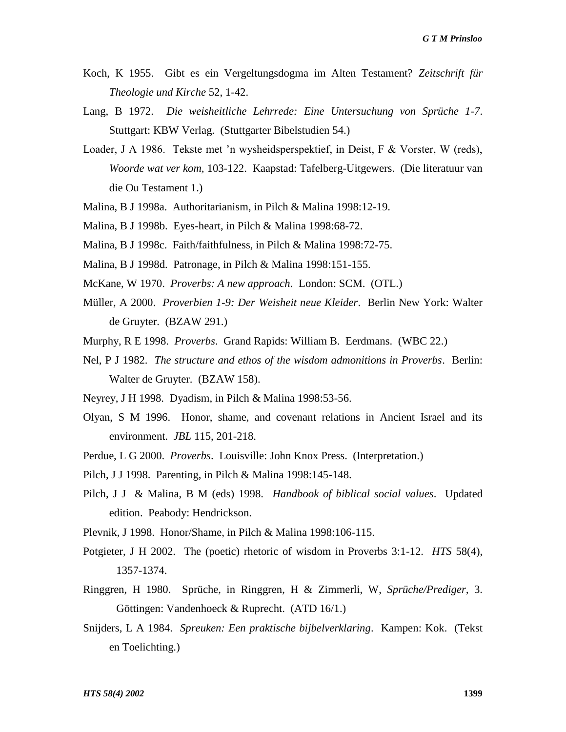- Koch, K 1955. Gibt es ein Vergeltungsdogma im Alten Testament? *Zeitschrift für Theologie und Kirche* 52, 1-42.
- Lang, B 1972. *Die weisheitliche Lehrrede: Eine Untersuchung von Sprüche 1-7*. Stuttgart: KBW Verlag. (Stuttgarter Bibelstudien 54.)
- Loader, J A 1986. Tekste met 'n wysheidsperspektief, in Deist, F & Vorster, W (reds), *Woorde wat ver kom,* 103-122. Kaapstad: Tafelberg-Uitgewers. (Die literatuur van die Ou Testament 1.)
- Malina, B J 1998a. Authoritarianism, in Pilch & Malina 1998:12-19.
- Malina, B J 1998b. Eyes-heart, in Pilch & Malina 1998:68-72.
- Malina, B J 1998c. Faith/faithfulness, in Pilch & Malina 1998:72-75.
- Malina, B J 1998d. Patronage, in Pilch & Malina 1998:151-155.
- McKane, W 1970. *Proverbs: A new approach*. London: SCM. (OTL.)
- Müller, A 2000. *Proverbien 1-9: Der Weisheit neue Kleider*. Berlin New York: Walter de Gruyter. (BZAW 291.)
- Murphy, R E 1998. *Proverbs*. Grand Rapids: William B. Eerdmans. (WBC 22.)
- Nel, P J 1982. *The structure and ethos of the wisdom admonitions in Proverbs*. Berlin: Walter de Gruyter. (BZAW 158).
- Neyrey, J H 1998. Dyadism, in Pilch & Malina 1998:53-56.
- Olyan, S M 1996. Honor, shame, and covenant relations in Ancient Israel and its environment. *JBL* 115, 201-218.
- Perdue, L G 2000. *Proverbs*. Louisville: John Knox Press. (Interpretation.)
- Pilch, J J 1998. Parenting, in Pilch & Malina 1998:145-148.
- Pilch, J J & Malina, B M (eds) 1998. *Handbook of biblical social values*. Updated edition. Peabody: Hendrickson.
- Plevnik, J 1998. Honor/Shame, in Pilch & Malina 1998:106-115.
- Potgieter, J H 2002. The (poetic) rhetoric of wisdom in Proverbs 3:1-12. *HTS* 58(4), 1357-1374.
- Ringgren, H 1980. Sprüche, in Ringgren, H & Zimmerli, W, *Sprüche/Prediger,* 3. Göttingen: Vandenhoeck & Ruprecht. (ATD 16/1.)
- Snijders, L A 1984. *Spreuken: Een praktische bijbelverklaring*. Kampen: Kok. (Tekst en Toelichting.)